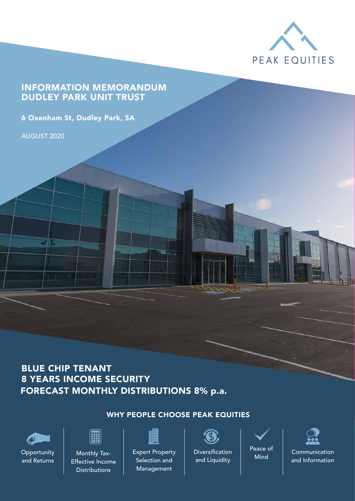

### INFORMATION MEMORANDUM DUDLEY PARK UNIT TRUST

6 Oxenham St, Dudley Park, SA

AUGUST 2020

包

### FORECAST MONTHLY DISTRIBUTIONS 8% p.a. BLUE CHIP TENANT 8 YEARS INCOME SECURITY

### WHY PEOPLE CHOOSE PEAK EQUITIES



**Opportunity** and Returns

|                                                                                                      |                                                                                                                                                                                                                                                |                                                  | <b>Contract Contract Contract Contract Contract Contract Contract Contract Contract Contract Contract Contract Co</b> |
|------------------------------------------------------------------------------------------------------|------------------------------------------------------------------------------------------------------------------------------------------------------------------------------------------------------------------------------------------------|--------------------------------------------------|-----------------------------------------------------------------------------------------------------------------------|
| <b>Service Service</b>                                                                               | ÷<br><b>Service Service</b>                                                                                                                                                                                                                    | <b>Service Service</b><br><b>Service Service</b> |                                                                                                                       |
| <b>Service Service</b><br><b>Service Service</b><br><b>Service Service</b><br><b>Service Service</b> | <b>Service Service</b><br><b>Service Service</b>                                                                                                                                                                                               | .,<br><b>Service Service</b>                     |                                                                                                                       |
| <b>Service Service</b><br><b>Service Service</b><br>- 1<br><b>Service Service</b>                    | .,<br><b>Service Service</b><br>- 1<br>÷<br><b>Service Service</b><br><b>Service Service</b>                                                                                                                                                   | ÷<br><b>Service Service</b>                      |                                                                                                                       |
|                                                                                                      | <b>Contract Contract Contract Contract Contract Contract Contract Contract Contract Contract Contract Contract Co</b><br><b>Contract Contract Contract Contract Contract Contract Contract Contract Contract Contract Contract Contract Co</b> |                                                  |                                                                                                                       |

Monthly Tax-Effective Income Distributions



Expert Property Diversification Peace of Selection and Management



Diversification and Liquidity



Communication and Information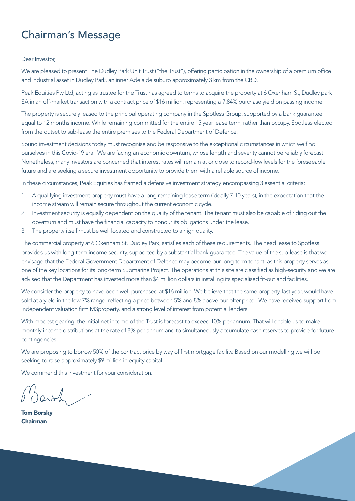## Chairman's Message

#### Dear Investor

We are pleased to present The Dudley Park Unit Trust ("the Trust"), offering participation in the ownership of a premium office and industrial asset in Dudley Park, an inner Adelaide suburb approximately 3 km from the CBD.

Peak Equities Pty Ltd, acting as trustee for the Trust has agreed to terms to acquire the property at 6 Oxenham St, Dudley park SA in an off-market transaction with a contract price of \$16 million, representing a 7.84% purchase yield on passing income.

The property is securely leased to the principal operating company in the Spotless Group, supported by a bank guarantee equal to 12 months income. While remaining committed for the entire 15 year lease term, rather than occupy, Spotless elected from the outset to sub-lease the entire premises to the Federal Department of Defence.

Sound investment decisions today must recognise and be responsive to the exceptional circumstances in which we find ourselves in this Covid-19 era. We are facing an economic downturn, whose length and severity cannot be reliably forecast. Nonetheless, many investors are concerned that interest rates will remain at or close to record-low levels for the foreseeable future and are seeking a secure investment opportunity to provide them with a reliable source of income.

In these circumstances, Peak Equities has framed a defensive investment strategy encompassing 3 essential criteria:

- 1. A qualifying investment property must have a long remaining lease term (ideally 7-10 years), in the expectation that the income stream will remain secure throughout the current economic cycle.
- 2. Investment security is equally dependent on the quality of the tenant. The tenant must also be capable of riding out the downturn and must have the financial capacity to honour its obligations under the lease.
- 3. The property itself must be well located and constructed to a high quality.

The commercial property at 6 Oxenham St, Dudley Park, satisfies each of these requirements. The head lease to Spotless provides us with long-term income security, supported by a substantial bank guarantee. The value of the sub-lease is that we envisage that the Federal Government Department of Defence may become our long-term tenant, as this property serves as one of the key locations for its long-term Submarine Project. The operations at this site are classified as high-security and we are advised that the Department has invested more than \$4 million dollars in installing its specialised fit-out and facilities.

We consider the property to have been well-purchased at \$16 million. We believe that the same property, last year, would have sold at a yield in the low 7% range, reflecting a price between 5% and 8% above our offer price. We have received support from independent valuation firm M3property, and a strong level of interest from potential lenders.

With modest gearing, the initial net income of the Trust is forecast to exceed 10% per annum. That will enable us to make monthly income distributions at the rate of 8% per annum and to simultaneously accumulate cash reserves to provide for future contingencies.

We are proposing to borrow 50% of the contract price by way of first mortgage facility. Based on our modelling we will be seeking to raise approximately \$9 million in equity capital.

We commend this investment for your consideration.

Tom Borsky Chairman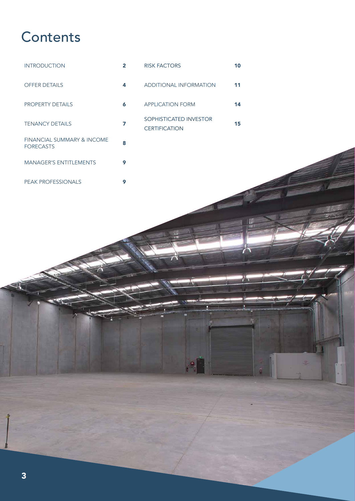# **Contents**



MANAGER'S ENTITLEMENTS 9

PEAK PROFESSIONALS 9

15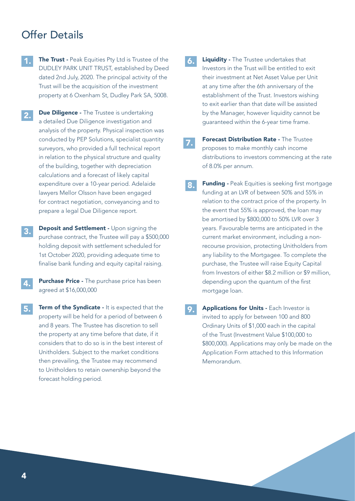### Offer Details

- The Trust Peak Equities Pty Ltd is Trustee of the DUDLEY PARK UNIT TRUST, established by Deed dated 2nd July, 2020. The principal activity of the Trust will be the acquisition of the investment property at 6 Oxenham St, Dudley Park SA, 5008. 1.
- **Due Diligence The Trustee is undertaking** a detailed Due Diligence investigation and analysis of the property. Physical inspection was conducted by PEP Solutions, specialist quantity surveyors, who provided a full technical report in relation to the physical structure and quality of the building, together with depreciation calculations and a forecast of likely capital expenditure over a 10-year period. Adelaide lawyers Mellor Olsson have been engaged for contract negotiation, conveyancing and to prepare a legal Due Diligence report. 2.
- Deposit and Settlement Upon signing the purchase contract, the Trustee will pay a \$500,000 holding deposit with settlement scheduled for 1st October 2020, providing adequate time to finalise bank funding and equity capital raising. 3.
- Purchase Price The purchase price has been agreed at \$16,000,000 4.
- Term of the Syndicate It is expected that the property will be held for a period of between 6 and 8 years. The Trustee has discretion to sell the property at any time before that date, if it considers that to do so is in the best interest of Unitholders. Subject to the market conditions then prevailing, the Trustee may recommend to Unitholders to retain ownership beyond the forecast holding period. 5.
- Liquidity The Trustee undertakes that Investors in the Trust will be entitled to exit their investment at Net Asset Value per Unit at any time after the 6th anniversary of the establishment of the Trust. Investors wishing to exit earlier than that date will be assisted by the Manager, however liquidity cannot be guaranteed within the 6-year time frame. 6.
	- **Forecast Distribution Rate The Trustee** proposes to make monthly cash income distributions to investors commencing at the rate of 8.0% per annum.

7.

- Funding Peak Equities is seeking first mortgage funding at an LVR of between 50% and 55% in relation to the contract price of the property. In the event that 55% is approved, the loan may be amortised by \$800,000 to 50% LVR over 3 years. Favourable terms are anticipated in the current market environment, including a nonrecourse provision, protecting Unitholders from any liability to the Mortgagee. To complete the purchase, the Trustee will raise Equity Capital from Investors of either \$8.2 million or \$9 million, depending upon the quantum of the first mortgage loan. 8.
- Applications for Units Each Investor is invited to apply for between 100 and 800 Ordinary Units of \$1,000 each in the capital of the Trust (Investment Value \$100,000 to \$800,000). Applications may only be made on the Application Form attached to this Information Memorandum. 9.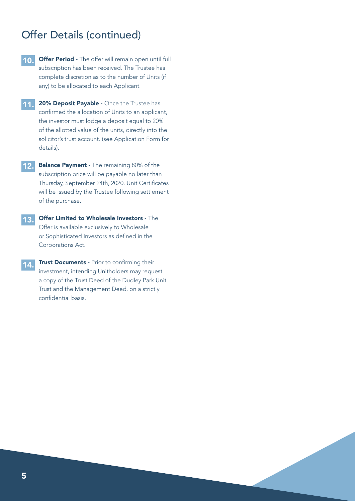### Offer Details (continued)

- **Offer Period -** The offer will remain open until full subscription has been received. The Trustee has complete discretion as to the number of Units (if any) to be allocated to each Applicant. 10.
- **11.** 20% Deposit Payable Once the Trustee has confirmed the allocation of Units to an applicant, the investor must lodge a deposit equal to 20% of the allotted value of the units, directly into the solicitor's trust account. (see Application Form for details).
- **12.** Balance Payment The remaining 80% of the subscription price will be payable no later than Thursday, September 24th, 2020. Unit Certificates will be issued by the Trustee following settlement of the purchase.
- Offer Limited to Wholesale Investors The Offer is available exclusively to Wholesale or Sophisticated Investors as defined in the Corporations Act. 13.
- **Trust Documents Prior to confirming their** investment, intending Unitholders may request a copy of the Trust Deed of the Dudley Park Unit Trust and the Management Deed, on a strictly confidential basis. 14.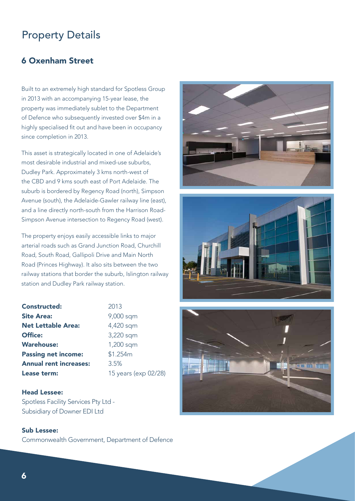### Property Details

### 6 Oxenham Street

Built to an extremely high standard for Spotless Group in 2013 with an accompanying 15-year lease, the property was immediately sublet to the Department of Defence who subsequently invested over \$4m in a highly specialised fit out and have been in occupancy since completion in 2013.

This asset is strategically located in one of Adelaide's most desirable industrial and mixed-use suburbs, Dudley Park. Approximately 3 kms north-west of the CBD and 9 kms south east of Port Adelaide. The suburb is bordered by Regency Road (north), Simpson Avenue (south), the Adelaide-Gawler railway line (east), and a line directly north-south from the Harrison Road-Simpson Avenue intersection to Regency Road (west).

The property enjoys easily accessible links to major arterial roads such as Grand Junction Road, Churchill Road, South Road, Gallipoli Drive and Main North Road (Princes Highway). It also sits between the two railway stations that border the suburb, Islington railway station and Dudley Park railway station.

| <b>Constructed:</b>           | 2013                 |
|-------------------------------|----------------------|
| <b>Site Area:</b>             | 9,000 sqm            |
| <b>Net Lettable Area:</b>     | 4,420 sqm            |
| <b>Office:</b>                | 3,220 sqm            |
| <b>Warehouse:</b>             | 1,200 sqm            |
| <b>Passing net income:</b>    | \$1.254m             |
| <b>Annual rent increases:</b> | 3.5%                 |
| Lease term:                   | 15 years (exp 02/28) |

#### Head Lessee:

Spotless Facility Services Pty Ltd - Subsidiary of Downer EDI Ltd

#### Sub Lessee: Commonwealth Government, Department of Defence





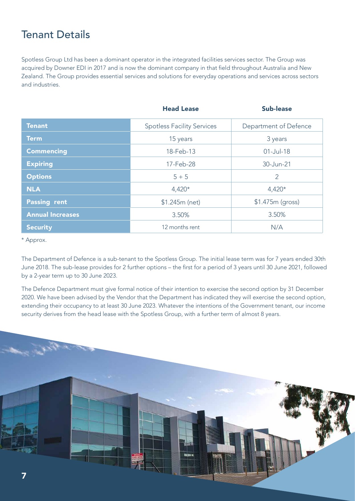### Tenant Details

Spotless Group Ltd has been a dominant operator in the integrated facilities services sector. The Group was acquired by Downer EDI in 2017 and is now the dominant company in that field throughout Australia and New Zealand. The Group provides essential services and solutions for everyday operations and services across sectors and industries.

|                         | <b>Head Lease</b>                 | <b>Sub-lease</b>      |  |  |
|-------------------------|-----------------------------------|-----------------------|--|--|
| <b>Tenant</b>           | <b>Spotless Facility Services</b> | Department of Defence |  |  |
| <b>Term</b>             | 15 years                          | 3 years               |  |  |
| <b>Commencing</b>       | 18-Feb-13                         | $01$ -Jul-18          |  |  |
| <b>Expiring</b>         | 17-Feb-28                         | 30-Jun-21             |  |  |
| <b>Options</b>          | $5 + 5$                           | $\overline{2}$        |  |  |
| <b>NLA</b>              | $4,420*$                          | $4,420*$              |  |  |
| <b>Passing rent</b>     | $$1.245m$ (net)                   | \$1.475m (gross)      |  |  |
| <b>Annual Increases</b> | 3.50%                             | 3.50%                 |  |  |
| <b>Security</b>         | 12 months rent                    | N/A                   |  |  |

\* Approx.

The Department of Defence is a sub-tenant to the Spotless Group. The initial lease term was for 7 years ended 30th June 2018. The sub-lease provides for 2 further options – the first for a period of 3 years until 30 June 2021, followed by a 2-year term up to 30 June 2023.

The Defence Department must give formal notice of their intention to exercise the second option by 31 December 2020. We have been advised by the Vendor that the Department has indicated they will exercise the second option, extending their occupancy to at least 30 June 2023. Whatever the intentions of the Government tenant, our income security derives from the head lease with the Spotless Group, with a further term of almost 8 years.

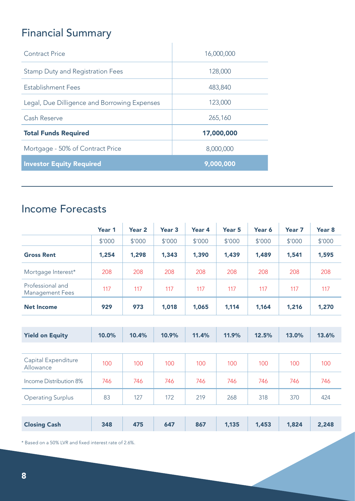# Financial Summary

| Contract Price                               | 16,000,000 |
|----------------------------------------------|------------|
| <b>Stamp Duty and Registration Fees</b>      | 128,000    |
| <b>Establishment Fees</b>                    | 483,840    |
| Legal, Due Dilligence and Borrowing Expenses | 123,000    |
| Cash Reserve                                 | 265,160    |
| <b>Total Funds Required</b>                  | 17,000,000 |
| Mortgage - 50% of Contract Price             | 8,000,000  |
| <b>Investor Equity Required</b>              | 9,000,000  |

 $\overline{1}$ 

## Income Forecasts

|                                            | Year 1 | Year <sub>2</sub> | Year <sub>3</sub> | Year 4 | Year <sub>5</sub> | Year 6 | Year <sub>7</sub> | Year <sub>8</sub> |
|--------------------------------------------|--------|-------------------|-------------------|--------|-------------------|--------|-------------------|-------------------|
|                                            | \$'000 | \$'000            | \$'000            | \$'000 | \$'000            | \$'000 | \$'000            | \$'000            |
| <b>Gross Rent</b>                          | 1,254  | 1,298             | 1,343             | 1,390  | 1,439             | 1,489  | 1,541             | 1,595             |
| Mortgage Interest*                         | 208    | 208               | 208               | 208    | 208               | 208    | 208               | 208               |
| Professional and<br><b>Management Fees</b> | 117    | 117               | 117               | 117    | 117               | 117    | 117               | 117               |
| <b>Net Income</b>                          | 929    | 973               | 1,018             | 1,065  | 1,114             | 1,164  | 1,216             | 1,270             |
|                                            |        |                   |                   |        |                   |        |                   |                   |
| <b>Yield on Equity</b>                     | 10.0%  | 10.4%             | 10.9%             | 11.4%  | 11.9%             | 12.5%  | 13.0%             | 13.6%             |
|                                            |        |                   |                   |        |                   |        |                   |                   |
| Capital Expenditure<br>Allowance           | 100    | 100               | 100               | 100    | 100               | 100    | 100               | 100               |
| Income Distribution 8%                     | 746    | 746               | 746               | 746    | 746               | 746    | 746               | 746               |
| <b>Operating Surplus</b>                   | 83     | 127               | 172               | 219    | 268               | 318    | 370               | 424               |
|                                            |        |                   |                   |        |                   |        |                   |                   |
| <b>Closing Cash</b>                        | 348    | 475               | 647               | 867    | 1,135             | 1,453  | 1,824             | 2,248             |

\* Based on a 50% LVR and fixed interest rate of 2.6%.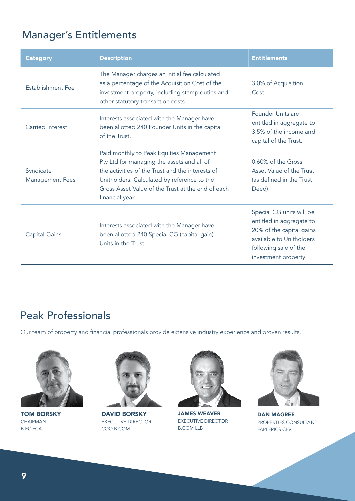## Manager's Entitlements

| <b>Category</b>                     | <b>Description</b>                                                                                                                                                                                                                                                | <b>Entitlements</b>                                                                                                                                          |
|-------------------------------------|-------------------------------------------------------------------------------------------------------------------------------------------------------------------------------------------------------------------------------------------------------------------|--------------------------------------------------------------------------------------------------------------------------------------------------------------|
| Establishment Fee                   | The Manager charges an initial fee calculated<br>as a percentage of the Acquisition Cost of the<br>investment property, including stamp duties and<br>other statutory transaction costs.                                                                          | 3.0% of Acquisition<br>Cost                                                                                                                                  |
| <b>Carried Interest</b>             | Interests associated with the Manager have<br>been allotted 240 Founder Units in the capital<br>of the Trust.                                                                                                                                                     | Founder Units are<br>entitled in aggregate to<br>3.5% of the income and<br>capital of the Trust.                                                             |
| Syndicate<br><b>Management Fees</b> | Paid monthly to Peak Equities Management<br>Pty Ltd for managing the assets and all of<br>the activities of the Trust and the interests of<br>Unitholders. Calculated by reference to the<br>Gross Asset Value of the Trust at the end of each<br>financial year. | 0.60% of the Gross<br>Asset Value of the Trust<br>(as defined in the Trust<br>Deed)                                                                          |
| <b>Capital Gains</b>                | Interests associated with the Manager have<br>been allotted 240 Special CG (capital gain)<br>Units in the Trust.                                                                                                                                                  | Special CG units will be<br>entitled in aggregate to<br>20% of the capital gains<br>available to Unitholders<br>following sale of the<br>investment property |

## Peak Professionals

Our team of property and financial professionals provide extensive industry experience and proven results.



TOM BORSKY CHAIRMAN B.EC FCA



DAVID BORSKY EXECUTIVE DIRECTOR COO B.COM



JAMES WEAVER EXECUTIVE DIRECTOR B.COM LLB



DAN MAGREE PROPERTIES CONSULTANT FAPI FRICS CPV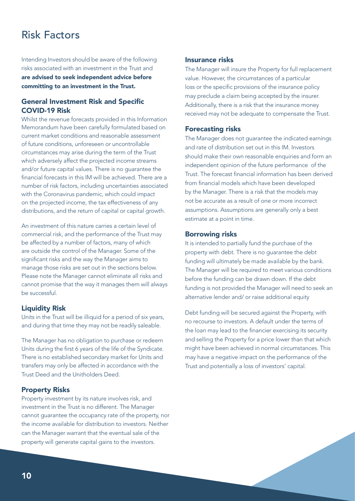## Risk Factors

Intending Investors should be aware of the following risks associated with an investment in the Trust and are advised to seek independent advice before committing to an investment in the Trust.

#### General Investment Risk and Specific COVID-19 Risk

Whilst the revenue forecasts provided in this Information Memorandum have been carefully formulated based on current market conditions and reasonable assessment of future conditions, unforeseen or uncontrollable circumstances may arise during the term of the Trust which adversely affect the projected income streams and/or future capital values. There is no guarantee the financial forecasts in this IM will be achieved. There are a number of risk factors, including uncertainties associated with the Coronavirus pandemic, which could impact on the projected income, the tax effectiveness of any distributions, and the return of capital or capital growth.

An investment of this nature carries a certain level of commercial risk, and the performance of the Trust may be affected by a number of factors, many of which are outside the control of the Manager. Some of the significant risks and the way the Manager aims to manage those risks are set out in the sections below. Please note the Manager cannot eliminate all risks and cannot promise that the way it manages them will always be successful.

#### Liquidity Risk

Units in the Trust will be illiquid for a period of six years, and during that time they may not be readily saleable.

The Manager has no obligation to purchase or redeem Units during the first 6 years of the life of the Syndicate. There is no established secondary market for Units and transfers may only be affected in accordance with the Trust Deed and the Unitholders Deed.

#### Property Risks

Property investment by its nature involves risk, and investment in the Trust is no different. The Manager cannot guarantee the occupancy rate of the property, nor the income available for distribution to investors. Neither can the Manager warrant that the eventual sale of the property will generate capital gains to the investors.

#### Insurance risks

The Manager will insure the Property for full replacement value. However, the circumstances of a particular loss or the specific provisions of the insurance policy may preclude a claim being accepted by the insurer. Additionally, there is a risk that the insurance money received may not be adequate to compensate the Trust.

#### Forecasting risks

The Manager does not guarantee the indicated earnings and rate of distribution set out in this IM. Investors should make their own reasonable enquiries and form an independent opinion of the future performance of the Trust. The forecast financial information has been derived from financial models which have been developed by the Manager. There is a risk that the models may not be accurate as a result of one or more incorrect assumptions. Assumptions are generally only a best estimate at a point in time.

#### Borrowing risks

It is intended to partially fund the purchase of the property with debt. There is no guarantee the debt funding will ultimately be made available by the bank. The Manager will be required to meet various conditions before the funding can be drawn down. If the debt funding is not provided the Manager will need to seek an alternative lender and/ or raise additional equity

Debt funding will be secured against the Property, with no recourse to investors. A default under the terms of the loan may lead to the financier exercising its security and selling the Property for a price lower than that which might have been achieved in normal circumstances. This may have a negative impact on the performance of the Trust and potentially a loss of investors' capital.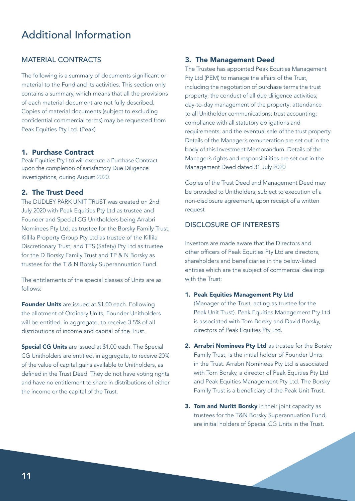### Additional Information

#### MATERIAL CONTRACTS

The following is a summary of documents significant or material to the Fund and its activities. This section only contains a summary, which means that all the provisions of each material document are not fully described. Copies of material documents (subject to excluding confidential commercial terms) may be requested from Peak Equities Pty Ltd. (Peak)

#### 1. Purchase Contract

Peak Equities Pty Ltd will execute a Purchase Contract upon the completion of satisfactory Due Diligence investigations, during August 2020.

#### 2. The Trust Deed

The DUDLEY PARK UNIT TRUST was created on 2nd July 2020 with Peak Equities Pty Ltd as trustee and Founder and Special CG Unitholders being Arrabri Nominees Pty Ltd, as trustee for the Borsky Family Trust; Killila Property Group Pty Ltd as trustee of the Killila Discretionary Trust; and TTS (Safety) Pty Ltd as trustee for the D Borsky Family Trust and TP & N Borsky as trustees for the T & N Borsky Superannuation Fund.

The entitlements of the special classes of Units are as follows:

Founder Units are issued at \$1.00 each. Following the allotment of Ordinary Units, Founder Unitholders will be entitled, in aggregate, to receive 3.5% of all distributions of income and capital of the Trust.

Special CG Units are issued at \$1.00 each. The Special CG Unitholders are entitled, in aggregate, to receive 20% of the value of capital gains available to Unitholders, as defined in the Trust Deed. They do not have voting rights and have no entitlement to share in distributions of either the income or the capital of the Trust.

#### 3. The Management Deed

The Trustee has appointed Peak Equities Management Pty Ltd (PEM) to manage the affairs of the Trust, including the negotiation of purchase terms the trust property; the conduct of all due diligence activities; day-to-day management of the property; attendance to all Unitholder communications; trust accounting; compliance with all statutory obligations and requirements; and the eventual sale of the trust property. Details of the Manager's remuneration are set out in the body of this Investment Memorandum. Details of the Manager's rights and responsibilities are set out in the Management Deed dated 31 July 2020

Copies of the Trust Deed and Management Deed may be provided to Unitholders, subject to execution of a non-disclosure agreement, upon receipt of a written request

#### DISCLOSURE OF INTERESTS

Investors are made aware that the Directors and other officers of Peak Equities Pty Ltd are directors, shareholders and beneficiaries in the below-listed entities which are the subject of commercial dealings with the Trust:

- 1. Peak Equities Management Pty Ltd (Manager of the Trust, acting as trustee for the Peak Unit Trust). Peak Equities Management Pty Ltd is associated with Tom Borsky and David Borsky, directors of Peak Equities Pty Ltd.
- 2. Arrabri Nominees Pty Ltd as trustee for the Borsky Family Trust, is the initial holder of Founder Units in the Trust. Arrabri Nominees Pty Ltd is associated with Tom Borsky, a director of Peak Equities Pty Ltd and Peak Equities Management Pty Ltd. The Borsky Family Trust is a beneficiary of the Peak Unit Trust.
- 3. Tom and Nuritt Borsky in their joint capacity as trustees for the T&N Borsky Superannuation Fund, are initial holders of Special CG Units in the Trust.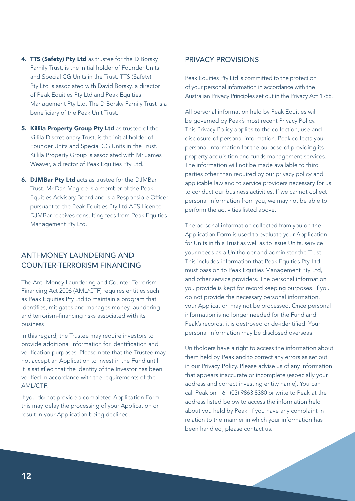- 4. TTS (Safety) Pty Ltd as trustee for the D Borsky Family Trust, is the initial holder of Founder Units and Special CG Units in the Trust. TTS (Safety) Pty Ltd is associated with David Borsky, a director of Peak Equities Pty Ltd and Peak Equities Management Pty Ltd. The D Borsky Family Trust is a beneficiary of the Peak Unit Trust.
- 5. Killila Property Group Pty Ltd as trustee of the Killila Discretionary Trust, is the initial holder of Founder Units and Special CG Units in the Trust. Killila Property Group is associated with Mr James Weaver, a director of Peak Equities Pty Ltd.
- **6. DJMBar Ptv Ltd** acts as trustee for the DJMBar Trust. Mr Dan Magree is a member of the Peak Equities Advisory Board and is a Responsible Officer pursuant to the Peak Equities Pty Ltd AFS Licence. DJMBar receives consulting fees from Peak Equities Management Pty Ltd.

#### ANTI-MONEY LAUNDERING AND COUNTER-TERRORISM FINANCING

The Anti-Money Laundering and Counter-Terrorism Financing Act 2006 (AML/CTF) requires entities such as Peak Equities Pty Ltd to maintain a program that identifies, mitigates and manages money laundering and terrorism-financing risks associated with its business.

In this regard, the Trustee may require investors to provide additional information for identification and verification purposes. Please note that the Trustee may not accept an Application to invest in the Fund until it is satisfied that the identity of the Investor has been verified in accordance with the requirements of the AML/CTF.

If you do not provide a completed Application Form, this may delay the processing of your Application or result in your Application being declined.

#### PRIVACY PROVISIONS

Peak Equities Pty Ltd is committed to the protection of your personal information in accordance with the Australian Privacy Principles set out in the Privacy Act 1988.

All personal information held by Peak Equities will be governed by Peak's most recent Privacy Policy. This Privacy Policy applies to the collection, use and disclosure of personal information. Peak collects your personal information for the purpose of providing its property acquisition and funds management services. The information will not be made available to third parties other than required by our privacy policy and applicable law and to service providers necessary for us to conduct our business activities. If we cannot collect personal information from you, we may not be able to perform the activities listed above.

The personal information collected from you on the Application Form is used to evaluate your Application for Units in this Trust as well as to issue Units, service your needs as a Unitholder and administer the Trust. This includes information that Peak Equities Pty Ltd must pass on to Peak Equities Management Pty Ltd, and other service providers. The personal information you provide is kept for record keeping purposes. If you do not provide the necessary personal information, your Application may not be processed. Once personal information is no longer needed for the Fund and Peak's records, it is destroyed or de-identified. Your personal information may be disclosed overseas.

Unitholders have a right to access the information about them held by Peak and to correct any errors as set out in our Privacy Policy. Please advise us of any information that appears inaccurate or incomplete (especially your address and correct investing entity name). You can call Peak on +61 (03) 9863 8380 or write to Peak at the address listed below to access the information held about you held by Peak. If you have any complaint in relation to the manner in which your information has been handled, please contact us.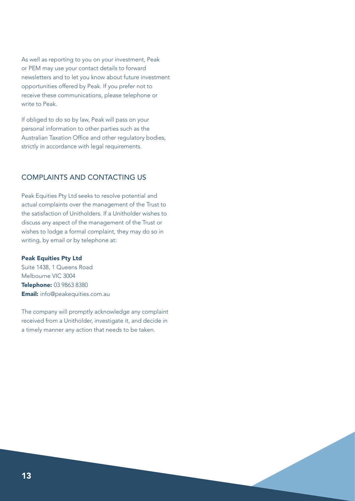As well as reporting to you on your investment, Peak or PEM may use your contact details to forward newsletters and to let you know about future investment opportunities offered by Peak. If you prefer not to receive these communications, please telephone or write to Peak

If obliged to do so by law, Peak will pass on your personal information to other parties such as the Australian Taxation Office and other regulatory bodies, strictly in accordance with legal requirements.

#### COMPLAINTS AND CONTACTING US

Peak Equities Pty Ltd seeks to resolve potential and actual complaints over the management of the Trust to the satisfaction of Unitholders. If a Unitholder wishes to discuss any aspect of the management of the Trust or wishes to lodge a formal complaint, they may do so in writing, by email or by telephone at:

#### Peak Equities Pty Ltd

Suite 1438, 1 Queens Road Melbourne VIC 3004 Telephone: 03 9863 8380 Email: info@peakequities.com.au

The company will promptly acknowledge any complaint received from a Unitholder, investigate it, and decide in a timely manner any action that needs to be taken.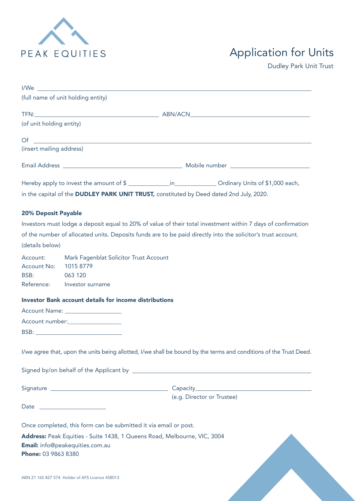

# Application for Units

Dudley Park Unit Trust

|                               | I/Weisser and the state of the state of the state of the state of the state of the state of the state of the state of the state of the state of the state of the state of the state of the state of the state of the state of  |                                                                                                                      |
|-------------------------------|--------------------------------------------------------------------------------------------------------------------------------------------------------------------------------------------------------------------------------|----------------------------------------------------------------------------------------------------------------------|
|                               | (full name of unit holding entity)                                                                                                                                                                                             |                                                                                                                      |
|                               |                                                                                                                                                                                                                                |                                                                                                                      |
| (of unit holding entity)      |                                                                                                                                                                                                                                |                                                                                                                      |
| Of                            |                                                                                                                                                                                                                                | <u> Alexandria de la contrada de la contrada de la contrada de la contrada de la contrada de la contrada de la c</u> |
| (insert mailing address)      |                                                                                                                                                                                                                                |                                                                                                                      |
|                               |                                                                                                                                                                                                                                |                                                                                                                      |
|                               |                                                                                                                                                                                                                                | Hereby apply to invest the amount of \$ ________________in_________________Ordinary Units of \$1,000 each,           |
|                               | in the capital of the DUDLEY PARK UNIT TRUST, constituted by Deed dated 2nd July, 2020.                                                                                                                                        |                                                                                                                      |
| 20% Deposit Payable           |                                                                                                                                                                                                                                |                                                                                                                      |
|                               |                                                                                                                                                                                                                                | Investors must lodge a deposit equal to 20% of value of their total investment within 7 days of confirmation         |
|                               |                                                                                                                                                                                                                                | of the number of allocated units. Deposits funds are to be paid directly into the solicitor's trust account.         |
| (details below)               |                                                                                                                                                                                                                                |                                                                                                                      |
| Account No: 1015 8779<br>BSB: | Account: Mark Fagenblat Solicitor Trust Account<br>063 120<br>Reference: Investor surname                                                                                                                                      |                                                                                                                      |
|                               | <b>Investor Bank account details for income distributions</b>                                                                                                                                                                  |                                                                                                                      |
|                               | Account Name: ____________________                                                                                                                                                                                             |                                                                                                                      |
|                               | Account number:                                                                                                                                                                                                                |                                                                                                                      |
|                               | BSB: Experimental and the contract of the contract of the contract of the contract of the contract of the contract of the contract of the contract of the contract of the contract of the contract of the contract of the cont |                                                                                                                      |
|                               |                                                                                                                                                                                                                                | I/we agree that, upon the units being allotted, I/we shall be bound by the terms and conditions of the Trust Deed.   |
|                               |                                                                                                                                                                                                                                |                                                                                                                      |
|                               |                                                                                                                                                                                                                                |                                                                                                                      |
|                               | Date _________________________                                                                                                                                                                                                 | (e.g. Director or Trustee)                                                                                           |
|                               |                                                                                                                                                                                                                                |                                                                                                                      |
|                               | Once completed, this form can be submitted it via email or post.                                                                                                                                                               |                                                                                                                      |
| Phone: 03 9863 8380           | Address: Peak Equities - Suite 1438, 1 Queens Road, Melbourne, VIC, 3004<br><b>Email:</b> info@peakequities.com.au                                                                                                             |                                                                                                                      |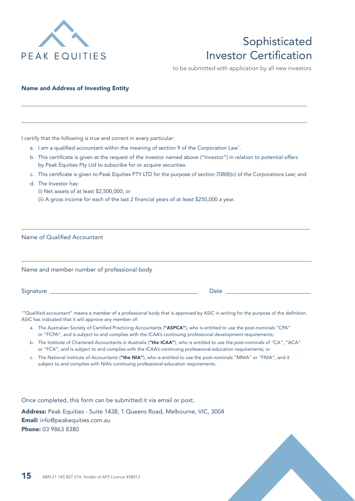

## Sophisticated Investor Certification

to be submitted with application by all new investors

#### Name and Address of Investing Entity

|  |  |  |  |  | I certify that the following is true and correct in every particular: |
|--|--|--|--|--|-----------------------------------------------------------------------|
|  |  |  |  |  |                                                                       |

- a. I am a qualified accountant within the meaning of section 9 of the Corporation Law<sup>1</sup>.
- b. This certificate is given at the request of the investor named above ("Investor") in relation to potential offers by Peak Equities Pty Ltd to subscribe for or acquire securities.
- c. This certificate is given to Peak Equities PTY LTD for the purpose of section 708(8)(c) of the Corporations Law; and

 $\overline{a}$ 

d. The Investor has:

 $\overline{a}$ 

 $\overline{a}$ 

- (i) Net assets of at least \$2,500,000; or
- (ii) A gross income for each of the last 2 financial years of at least \$250,000 a year.

| Name of Qualified Accountant                |                                                                                                                                                                                                                                |  |  |  |  |  |
|---------------------------------------------|--------------------------------------------------------------------------------------------------------------------------------------------------------------------------------------------------------------------------------|--|--|--|--|--|
|                                             |                                                                                                                                                                                                                                |  |  |  |  |  |
| Name and member number of professional body |                                                                                                                                                                                                                                |  |  |  |  |  |
|                                             | Date and the contract of the contract of the contract of the contract of the contract of the contract of the contract of the contract of the contract of the contract of the contract of the contract of the contract of the c |  |  |  |  |  |

1 "Qualified accountant" means a member of a professional body that is approved by ASIC in writing for the purpose of the definition. ASIC has indicated that it will approve any member of:

- a. The Australian Society of Certified Practicing Accountants ("ASPCA"), who is entitled to use the post-nominals "CPA" or "FCPA", and is subject to and complies with the ICAA's continuing professional development requirements;
- b. The Institute of Chartered Accountants in Australia ("the ICAA"), who is entitled to use the post-nominals of "CA", "ACA" or "FCA", and is subject to and complies with the ICAA's continuing professional education requirements; or
- c. The National Institute of Accountants ("the NIA"), who is entitled to use the post-nominals "MNIA" or "FNIA", and it subject to and complies with NIA's continuing professional education requirements.

Once completed, this form can be submitted it via email or post.

Address: Peak Equities - Suite 1438, 1 Queens Road, Melbourne, VIC, 3004 Email: info@peakequities.com.au Phone: 03 9863 8380